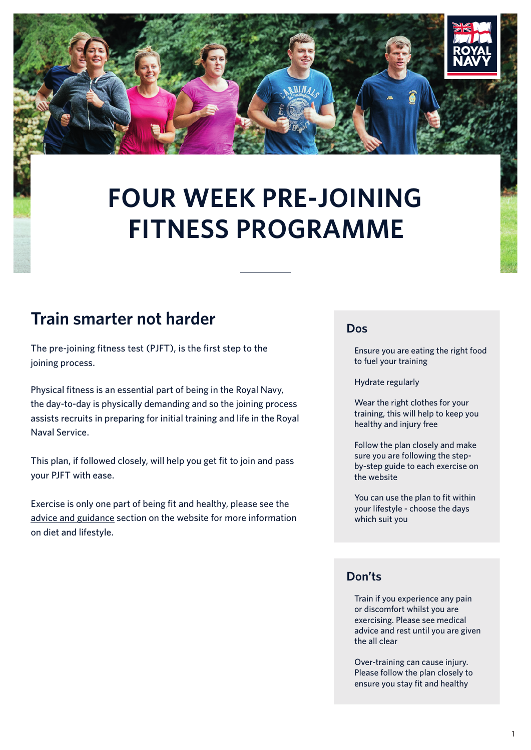

# **FOUR WEEK PRE-JOINING FITNESS PROGRAMME**

#### **Train smarter not harder**

The pre-joining fitness test (PJFT), is the first step to the joining process.

Physical fitness is an essential part of being in the Royal Navy, the day-to-day is physically demanding and so the joining process assists recruits in preparing for initial training and life in the Royal Naval Service.

This plan, if followed closely, will help you get fit to join and pass your PJFT with ease.

Exercise is only one part of being fit and healthy, please see the [advice and guidance](https://www.royalnavy.mod.uk/careers/joining/get-fit-to-join/advice-and-guidance) section on the website for more information on diet and lifestyle.

#### **Dos**

 Ensure you are eating the right food to fuel your training

Hydrate regularly

 Wear the right clothes for your training, this will help to keep you healthy and injury free

 Follow the plan closely and make sure you are following the stepby-step guide to each exercise on the website

 You can use the plan to fit within your lifestyle - choose the days which suit you

#### **Don'ts**

 Train if you experience any pain or discomfort whilst you are exercising. Please see medical advice and rest until you are given the all clear

 Over-training can cause injury. Please follow the plan closely to ensure you stay fit and healthy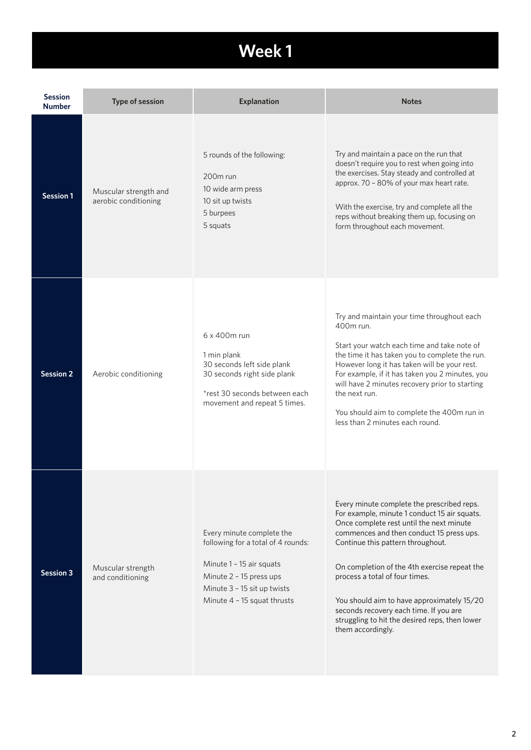### **Week 1**

| <b>Session</b><br><b>Number</b> | <b>Type of session</b>                        | <b>Explanation</b>                                                                                                                                                                   | <b>Notes</b>                                                                                                                                                                                                                                                                                                                                                                                                                                                             |
|---------------------------------|-----------------------------------------------|--------------------------------------------------------------------------------------------------------------------------------------------------------------------------------------|--------------------------------------------------------------------------------------------------------------------------------------------------------------------------------------------------------------------------------------------------------------------------------------------------------------------------------------------------------------------------------------------------------------------------------------------------------------------------|
| Session 1                       | Muscular strength and<br>aerobic conditioning | 5 rounds of the following:<br>200 <sub>m</sub> run<br>10 wide arm press<br>10 sit up twists<br>5 burpees<br>5 squats                                                                 | Try and maintain a pace on the run that<br>doesn't require you to rest when going into<br>the exercises. Stay steady and controlled at<br>approx. 70 - 80% of your max heart rate.<br>With the exercise, try and complete all the<br>reps without breaking them up, focusing on<br>form throughout each movement.                                                                                                                                                        |
| <b>Session 2</b>                | Aerobic conditioning                          | 6 x 400m run<br>1 min plank<br>30 seconds left side plank<br>30 seconds right side plank<br>*rest 30 seconds between each<br>movement and repeat 5 times.                            | Try and maintain your time throughout each<br>400m run.<br>Start your watch each time and take note of<br>the time it has taken you to complete the run.<br>However long it has taken will be your rest.<br>For example, if it has taken you 2 minutes, you<br>will have 2 minutes recovery prior to starting<br>the next run.<br>You should aim to complete the 400m run in<br>less than 2 minutes each round.                                                          |
| <b>Session 3</b>                | Muscular strength<br>and conditioning         | Every minute complete the<br>following for a total of 4 rounds:<br>Minute 1 - 15 air squats<br>Minute 2 - 15 press ups<br>Minute 3 - 15 sit up twists<br>Minute 4 - 15 squat thrusts | Every minute complete the prescribed reps.<br>For example, minute 1 conduct 15 air squats.<br>Once complete rest until the next minute<br>commences and then conduct 15 press ups.<br>Continue this pattern throughout.<br>On completion of the 4th exercise repeat the<br>process a total of four times.<br>You should aim to have approximately 15/20<br>seconds recovery each time. If you are<br>struggling to hit the desired reps, then lower<br>them accordingly. |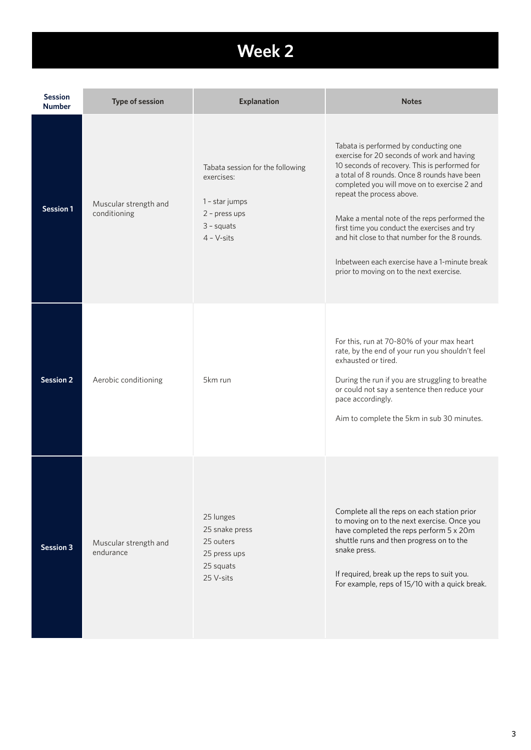## **Week 2 Week 1**

| <b>Session</b><br><b>Number</b> | <b>Type of session</b>                | <b>Explanation</b>                                                                                                | <b>Notes</b>                                                                                                                                                                                                                                                                                                                                                                                                                                                                                                     |
|---------------------------------|---------------------------------------|-------------------------------------------------------------------------------------------------------------------|------------------------------------------------------------------------------------------------------------------------------------------------------------------------------------------------------------------------------------------------------------------------------------------------------------------------------------------------------------------------------------------------------------------------------------------------------------------------------------------------------------------|
| <b>Session 1</b>                | Muscular strength and<br>conditioning | Tabata session for the following<br>exercises:<br>1 - star jumps<br>2 - press ups<br>$3 -$ squats<br>$4 - V-sits$ | Tabata is performed by conducting one<br>exercise for 20 seconds of work and having<br>10 seconds of recovery. This is performed for<br>a total of 8 rounds. Once 8 rounds have been<br>completed you will move on to exercise 2 and<br>repeat the process above.<br>Make a mental note of the reps performed the<br>first time you conduct the exercises and try<br>and hit close to that number for the 8 rounds.<br>Inbetween each exercise have a 1-minute break<br>prior to moving on to the next exercise. |
| <b>Session 2</b>                | Aerobic conditioning                  | 5km run                                                                                                           | For this, run at 70-80% of your max heart<br>rate, by the end of your run you shouldn't feel<br>exhausted or tired.<br>During the run if you are struggling to breathe<br>or could not say a sentence then reduce your<br>pace accordingly.<br>Aim to complete the 5km in sub 30 minutes.                                                                                                                                                                                                                        |
| <b>Session 3</b>                | Muscular strength and<br>endurance    | 25 lunges<br>25 snake press<br>25 outers<br>25 press ups<br>25 squats<br>25 V-sits                                | Complete all the reps on each station prior<br>to moving on to the next exercise. Once you<br>have completed the reps perform 5 x 20m<br>shuttle runs and then progress on to the<br>snake press.<br>If required, break up the reps to suit you.<br>For example, reps of 15/10 with a quick break.                                                                                                                                                                                                               |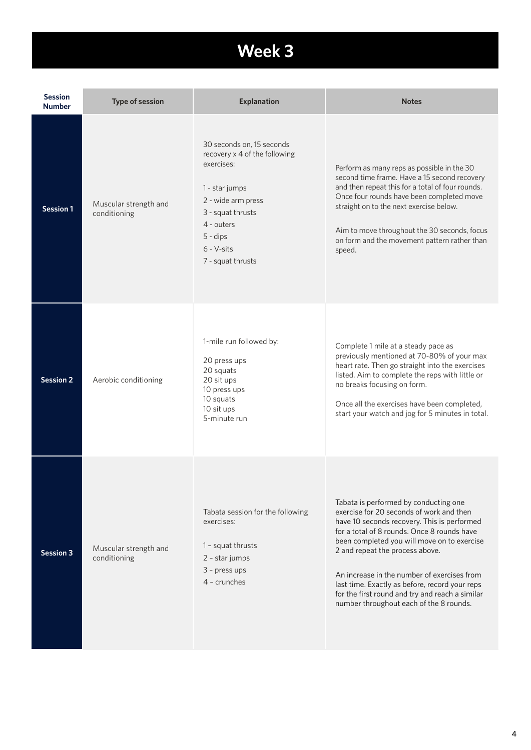## **Week 3 Week 1**

| <b>Session</b><br><b>Number</b> | <b>Type of session</b>                | <b>Explanation</b>                                                                                                                                                                                     | <b>Notes</b>                                                                                                                                                                                                                                                                                                                                                                                                                                                     |
|---------------------------------|---------------------------------------|--------------------------------------------------------------------------------------------------------------------------------------------------------------------------------------------------------|------------------------------------------------------------------------------------------------------------------------------------------------------------------------------------------------------------------------------------------------------------------------------------------------------------------------------------------------------------------------------------------------------------------------------------------------------------------|
| <b>Session 1</b>                | Muscular strength and<br>conditioning | 30 seconds on, 15 seconds<br>recovery x 4 of the following<br>exercises:<br>1 - star jumps<br>2 - wide arm press<br>3 - squat thrusts<br>4 - outers<br>$5 -$ dips<br>$6 - V-sits$<br>7 - squat thrusts | Perform as many reps as possible in the 30<br>second time frame. Have a 15 second recovery<br>and then repeat this for a total of four rounds.<br>Once four rounds have been completed move<br>straight on to the next exercise below.<br>Aim to move throughout the 30 seconds, focus<br>on form and the movement pattern rather than<br>speed.                                                                                                                 |
| <b>Session 2</b>                | Aerobic conditioning                  | 1-mile run followed by:<br>20 press ups<br>20 squats<br>20 sit ups<br>10 press ups<br>10 squats<br>10 sit ups<br>5-minute run                                                                          | Complete 1 mile at a steady pace as<br>previously mentioned at 70-80% of your max<br>heart rate. Then go straight into the exercises<br>listed. Aim to complete the reps with little or<br>no breaks focusing on form.<br>Once all the exercises have been completed,<br>start your watch and jog for 5 minutes in total.                                                                                                                                        |
| <b>Session 3</b>                | Muscular strength and<br>conditioning | Tabata session for the following<br>exercises:<br>1 - squat thrusts<br>2 - star jumps<br>3 - press ups<br>$4$ - crunches                                                                               | Tabata is performed by conducting one<br>exercise for 20 seconds of work and then<br>have 10 seconds recovery. This is performed<br>for a total of 8 rounds. Once 8 rounds have<br>been completed you will move on to exercise<br>2 and repeat the process above.<br>An increase in the number of exercises from<br>last time. Exactly as before, record your reps<br>for the first round and try and reach a similar<br>number throughout each of the 8 rounds. |